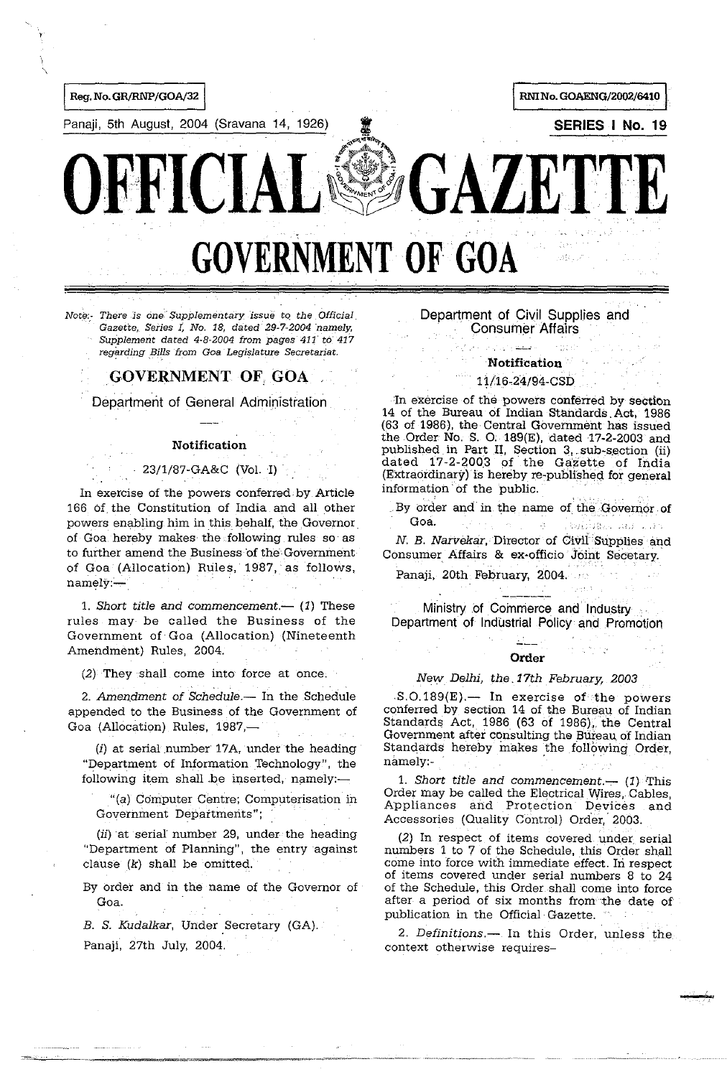

Panaji, 5th August, 2004 (Sravana 14, 1926) **II SERIES I No. 19 SERIES I No. 19** SERIES IN **SERIES IN** 

**GOVERNMENT OF GOA** 

OFFICIAL<sup>®</sup>OALL1IE

Note:- There is one Supplementary issue to the Official *Gazette, Series 1, No. 18, dated 29-7-2004 namely,* Supplement dated 4-8-2004 from pages' 411' *to'* 417 regarding *Bills from Goa Legislature Secretariat.* 

# GOVERNMENT OF. GOA,

Department of General Administration

## Notification

#### 23/1/87-GA&C (VoL I)

In exercise of the powers conferred by Article 166 Of the Constitution of India and all other powers enabling him in this behalf, the Governor. of Goa hereby makes the following rules so as to further amend the Business'of the,Government of Goa (Allocation) Rules, 1987, as follows, namely:-

1. Short title and commencement.-- (1) These rules may be called the Business of the Government of Goa (Allocation) (Nineteenth Amendment) Rules, 2004.

(2) They shall come into force at once.

2. Amendment of *Schedule* -- In the Schedule appended to the Business of the Government of Goa (Allocation) Rules, 1987,-

 $(i)$  at serial number 17A, under the heading "Department of Information Technology", the following item shall be inserted, namely:-

"(a) Computer Centre; Computerisation in Government Departments";

 $(ii)$  at serial number 29, under the heading "Department of Planning", the entry against clause (k) shall be omitted.

By order and in the name of the Governor of Goa.

*B. S. Kudalkar,* Under Secretary (GA). Panaji, 27th July, 2004.

# Department of Civil Supplies and **Consumer Affairs**

# Notification

#### 11/16\_24/94-CSD

In exercise of the powers conferred by section 14 of the Bureau of Indian Standards.Act, 1986 (63 of 1986), the Central Government has issued the Order No. S. 0: 189(E), dated 17-2-2003 and published in Part II, Section 3, sub-section (ii) dated 17-2-2003 of the Gazette of India (Extraordinary) is hereby re-published for general information' of the public.

By order and in the name of the Governor of **Goa.** " ,'"

N. *B. Narvekar*, Director of Civil Supplies and Consumer Affairs & ex-officio Joint Secetary.·

Panaji, 20th February, 2004.

Ministry of Commerce and Industry . Department of Industrial Policy and Promotion

#### **Order**

# *New Delhi, the. 17th February, 2003*

.S.0.189(E).- In exercise *ot* the powers conferred by section 14 of the Bureau of Indian Standards Act, 1986 (63 of 1986), the Central Government after consulting the Bureau, of Indian Standards hereby makes the following- Order, New Delhi, the 17th February, 200<br>
S.O.189(E).— In exercise of the pronferred by section 14 of the Bureau of<br>
Standards Act, 1986 (63 of 1986), the Government after consulting the Bureau of<br>
Standards hereby makes the fol

1. *Short title and commencement.* $-$  (1) This Order may be called the Electrical Wires, Cables, Appliances and Protection Devices and Accessories (Quality Control) Order,' 2003.

(2) In respect of items covered under serial numbers 1 to 7 of the Schedule, this Order shall come into force with immediate effect. In respect of items covered under serial numbers 8 to 24 of the Schedule, this Order shall come into force after a period of six months from the date of publication in the Official Gazette.

*2. Definitions.-* In this Order, unless the context otherwise requires-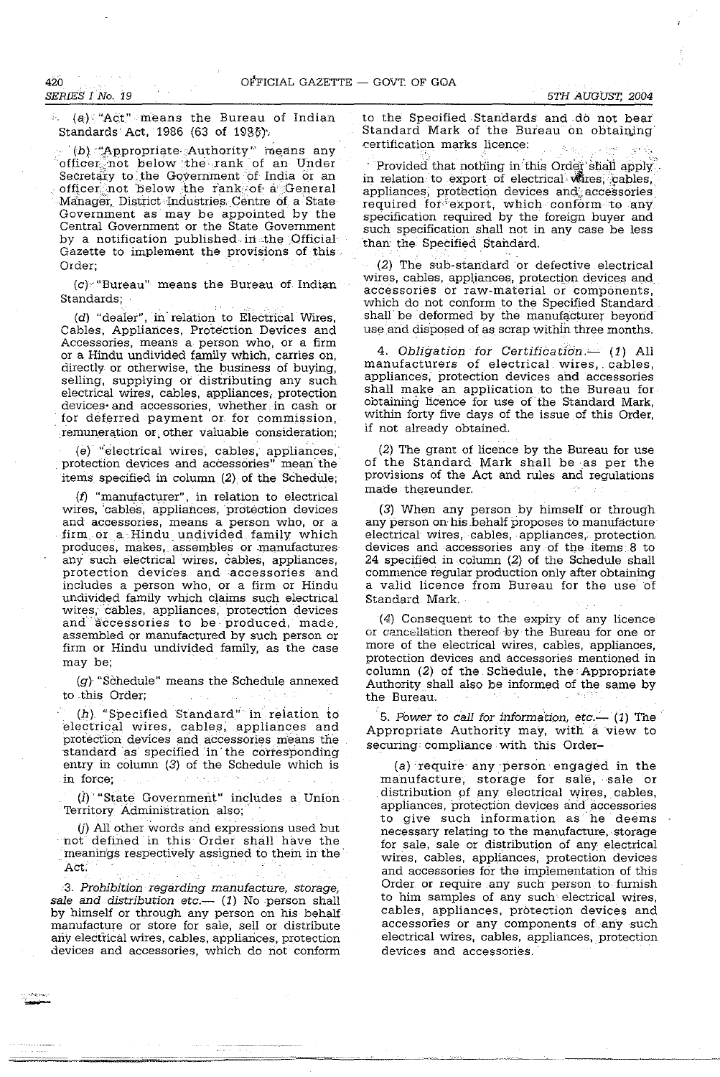*5TH AUGUST, 2004* 

 $\phi$ . (a), "Act" means the Bureau of Indian Standards Act, 1986 (63 of  $1986$ ).

(b) "Appropriate Authority" means any officer; not below the rank of an Under Secretary to the Government of India or an officer; not below the rank; of a General Manager, District Industries. Centre of a State Government as may be appointed by the Central Government or the State Government by a notification published in the Official Gazette to implement the provisions of this Order;

(c),' "Bureau" means the Bureau of. Indian Standards;

(d) "dealer", in'relation to Electrical Wires, Cables, Appliances, Protection Devices and Accessories, means a person who, or a firm or a Hindu undivided family which, carries on, directly or otherwise, the business of buying, selling, supplying or distributing any such electrical wires, cables, appliances, protection<br>devices and accessories, whether in cash or for deferred payment or for commission, remuneration or. other valuable consideration;

(e) "electrical wires, cables, appliances, , protection devices and accessories" mean' the' items, specified in column (2) of the Schedule;

(f) "manufacturer", in relation to electrical wires, 'cables, appliances, protection devices and accessories, means a person who, or a firm or a.Hindu undivided family which produces, makes, assembles or manufactures any such electrical wires, cables, appliances, protection devices and accessories and includes a person who, or a firm or Hindu undivided family which claims such electrical wires, cables, appliances, protection devices and accessories to be produced, made, assembled or manufactured by such person or firm or Hindu undivided family, as the case may be;

(g) "Schedule" means the Schedule annexed to this Order;

(h) "Specified Standard" in relation to electrical wires, cables; appliances and protection devices and accessories means the standard as specified' in' the corresponding entry in column (3) of the Schedule which is in force;

(i) "State Government" includes a Union Territory Administration also;'

 $U$ ) All other words and expressions used but not defined in this Order shall have the meanings respectively assigned to them in the Act:

3. Prohibition regarding manufacture, storage, sale and distribution etc.--  $(1)$  No person shall by himself or through any person on his behalf manufacture or store for sale, sell or distribute any electrical wires, cables, appliances, protection devices and accessories, which do not conform to the Specified Standards and do not bear Standard Mark of the Bureau on obtaining ('ertification marks licence:

Provided that nothing in this Order shall apply. in relation to export of electrical wires; cables, appliances, protection devices and accessories required for export, which conform to any specification required by the foreign buyer and such specification shall not in any case be less than the Specified Standard.

(2) The sub-standard or defective electrical wires, cables, appliances, protection devices and accessories or raw-material or components, which do not conform to the Specified Standard shall be deformed by the manufacturer beyond use and disposed of as scrap within three months.

4. Obligation for Certification  $-$  (1) All manufacturers of electrical wires, cables, appliances, protection deVices and accessories shall make an application ,to the Bureau for obtaining licence for use of' the Standard Mark, within forty five days of the issue of this Order, if not already obtained.

(2) The grant of licence by the Bureau for use of the Standard Mark shall be as per the provisions of the Act and rules and regulations made thereunder.

(3) When any person by himself or through any person on his behalf proposes to manufacture electrical wires, cables, appliances, protection devices and accessories any of the items 8 to 24 specified in. column (2) of the Schedule shall commence regular production only after obtaining a valid licence from Bureau for the use' of Standard Mark.

(4) Consequent to the expiry of any licence or cancellation thereof by the Bureau for one or more of the electrical wires, cables, appliances, protection devices and accessories mentioned in column (2) of the Schedule, the Appropriate Authority shall also be informed of the same by the Bureau. . .

5. Power to call for information, etc.- (1) The Appropriate Authority may, with a view to securing: compliance with this Order-

(a) require any 'person' engaged in the manufacture, storage for sale, sale or distribution of any electrical wires, cables, appliances, protection devices and accessories to give such information as he deems necessary relating to the manufacture, storage for sale, sale or distribution of any electrical wires, cables, appliances, protection devices and accessories for the implementation of this Order or require any such person to furnish to him samples of any such electrical wires, cables, appliances, protection devices and accessories or any components of any such electrical wires, cables, appliances, protection devices and accessories.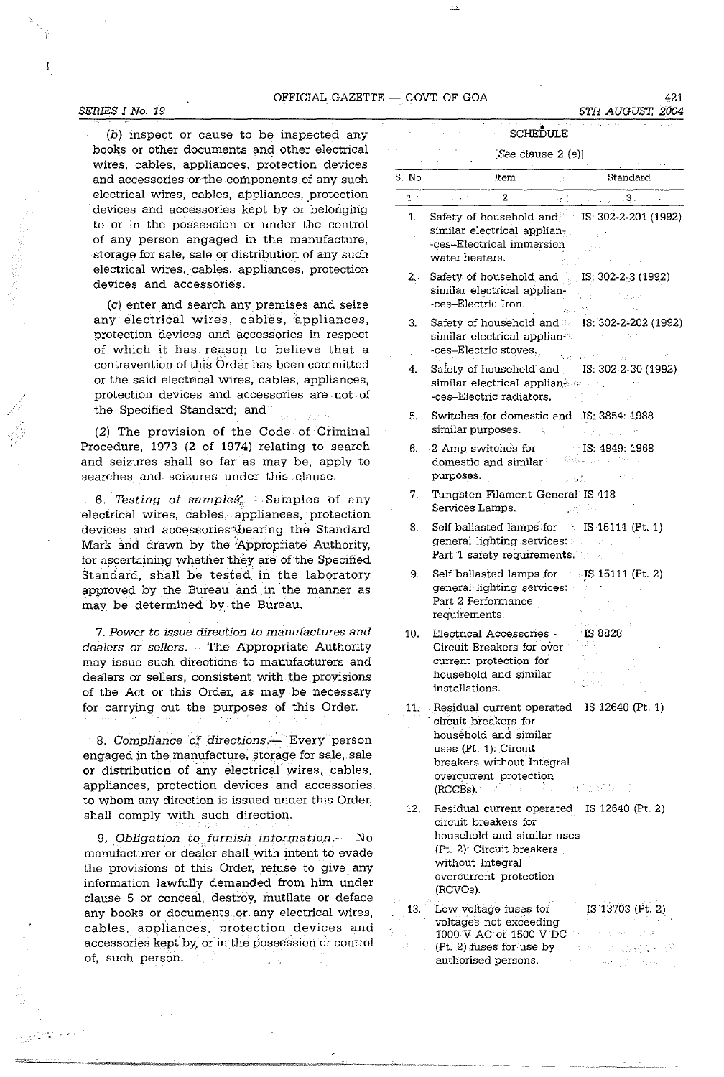OFFICIAL GAZETTE  $-$  GOVT. OF GOA 421

#### *SERIES I No. 19*

 $(b)$  inspect or cause to be inspected any books or other documents and other electrical wires, cables, appliances, protection devices and accessories or the components of any such electrical wires, cables, appliances, protection devices and accessories kept by or belonging to or in the possession or under the control of any person engaged in the manufacture, storage for sale, sale or distribution of any such electrical wires, cables, appliances, protection devices and accessories.

(c) enter and search anY'premises and seize any electrical wires, cables, appliances, protection devices and accessories in respect of which it has reason to believe that a contravention of this Order has been committed or the said electrical wires, cables, appliances, protection devices and accessories are not of the Specified Standard; and

(2) The provision of the Code of Criminal Procedure, 1973 (2 of 1974) relating to search and seizures shall so far as may be, apply to searches and seizures under this clause.

6. Testing of samples  $\rightarrow$  Samples of any electrical wires, cables, appliances, protection devices and accessories bearing the Standard Mark and drawn by the 'Appropriate Authority, for ascertaining whether they are of the Specified Standard, shall be tested in the laboratory approved by the Bureau and in the manner as may be determined by the Bureau.

7. Power to issue direction to manufactures and dealers or sellers. -- The Appropriate Authority may issue such directions to manufacturers and dealers or sellers, consistent with the provisions of the Act or this Order, as may be necessary for carrying out the purposes of this Order.

8. Compliance of directions.-- Every person engaged in the manufacture, storage for sale, sale or distribution of any electrical wires, cables, appliances, protection devices and accessories to whom any direction is issued under this Order, shall comply with such direction.

9, Obligation to furnish information.- No manufacturer or dealer shall with intent to evade the provisions of this Order, refuse to give any information lawfully demanded from him under clause 5 or conceal, destroy, mutilate or deface any books or documents .or. any electrical wires, cables, appliances, protection. devices and accessories kept by, or in the possession or control of, such person.

|                | SCHEDULE                                                                                                                                                                                                                      |
|----------------|-------------------------------------------------------------------------------------------------------------------------------------------------------------------------------------------------------------------------------|
|                | [See clause $2(e)$ ]                                                                                                                                                                                                          |
| S. No.         | Standard<br>Item                                                                                                                                                                                                              |
| 1 <sup>1</sup> | 2<br>3. او استان که در استان                                                                                                                                                                                                  |
| 1.             | Safety of household and IS: 302-2-201 (1992)<br>similar electrical applian-<br>-ces-Electrical immersion<br>water heaters.                                                                                                    |
| 2 <sub>1</sub> | Safety of household and IS: 302-2-3 (1992)<br>similar electrical applian-<br>-ces-Electric Iron.<br>342                                                                                                                       |
| 3.<br>УĆ       | Safety of household and <b>IS: 302-2-202</b> (1992)<br>similar electrical applian <sup>i</sup><br>-ces-Electric stoves.                                                                                                       |
| 4.             | Safety of household and<br>IS: 302-2-30 (1992)<br>similar electrical applian and the<br>-ces-Electric radiators.                                                                                                              |
| 5.             | Switches for domestic and IS; 3854: 1988<br>similar purposes.                                                                                                                                                                 |
| 6.             | IS: 4949: 1968<br>2 Amp switches for<br>1939년 11월<br>domestic and similar<br>purposes.<br>a Palu                                                                                                                              |
|                | 7. Tungsten Filament General IS 418<br>Services Lamps                                                                                                                                                                         |
| 8.             | Self ballasted lamps for IS 15111 (Pt. 1)<br>general lighting services:<br>Part 1 safety requirements.                                                                                                                        |
| 9.             | Self ballasted lamps for IS 15111 (Pt. 2)<br>general lighting services.<br>Part 2 Performance<br>requirements.                                                                                                                |
| 10.            | <b>Contract</b><br>1S 8828<br>Electrical Accessories -<br>Circuit Breakers for over<br>current protection for<br>household and similar<br>installations.                                                                      |
|                | 11. Residual current operated IS 12640 (Pt. 1)<br>circuit breakers for<br>household and similar<br>uses (Pt. 1): Circuit<br>breakers without Integral<br>overcurrent protection<br>in a certain Mexican<br>(RCCBs).<br>sta in |
| 12.            | Residual current operated IS 12640 (Pt. 2)<br>circuit breakers for<br>household and similar uses<br>(Pt. 2): Circuit breakers<br>without Integral<br>overcurrent protection<br>(RCVOs).                                       |
| 13.            | IS 13703 (Pt. 2)<br>Low voltage fuses for<br>voltages not exceeding<br>1000 V AC or 1500 V DC                                                                                                                                 |
|                | $P(t, 2)$ fuses for use by<br>authorised persons.                                                                                                                                                                             |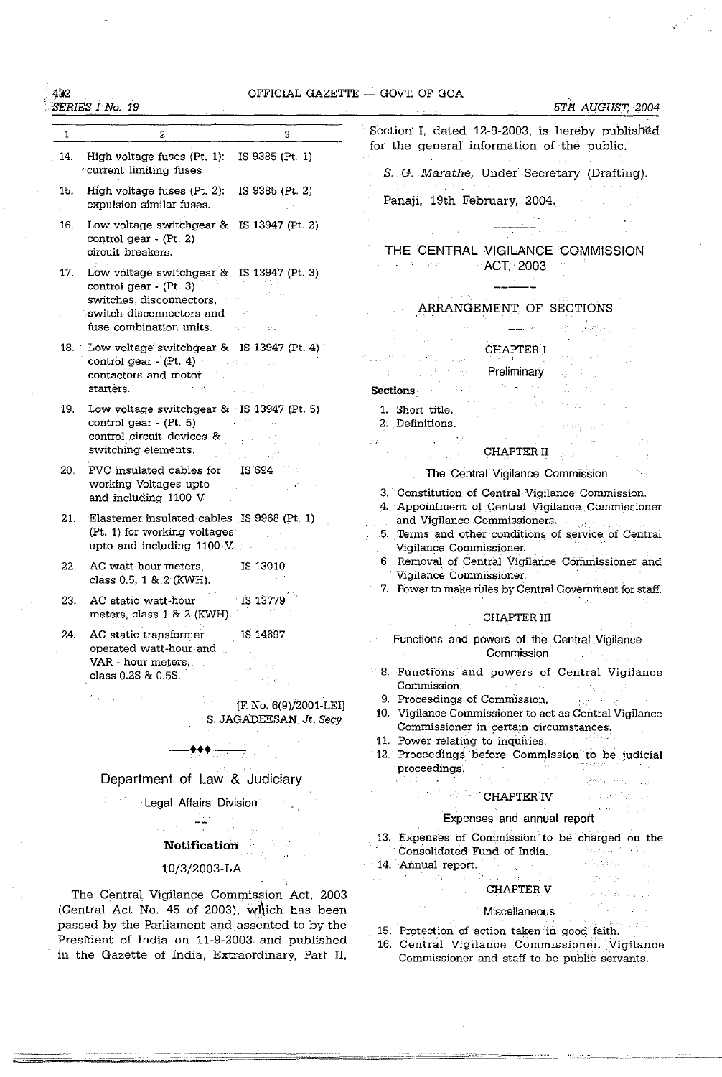# $422$  OFFICIAL GAZETTE  $-$  GOVT. OF GOA

l.

| 3<br>2<br>$\mathbf{1}$<br>High voltage fuses $(Pt. 1)$ : IS 9385 $(Pt. 1)$<br>.14.<br>current limiting fuses<br>15.<br>High voltage fuses $(Pt. 2)$ : IS 9385 $(Pt. 2)$<br>expulsion similar fuses.<br>16.<br>Low voltage switchgear & IS 13947 (Pt. 2)<br>control gear $-(Pt. 2)$<br>circuit breakers.<br>Low voltage switchgear & IS 13947 (Pt. 3)<br>17.<br>control gear - (Pt. 3)<br>switches, disconnectors,<br>switch disconnectors and<br>fuse combination units.<br>18. Low voltage switchgear & IS 13947 (Pt. 4)<br>$control gear - (Pt. 4)$<br>contactors and motor<br>starters.<br>大学会の<br>and the state<br>Low voltage switchgear & IS 13947 (Pt. 5)<br>19.<br>control gear - (Pt. 5)<br>control circuit devices &<br>switching elements.<br>PVC insulated cables for<br>IS 694<br>20.<br>working Voltages upto<br>$\sim$ 100 $\sim$ 100 $\mu$ | Section I, dated 12-9-2003, is hereby published<br>for the general information of the public.<br>S. G. Marathe, Under Secretary (Drafting).<br>Panaji, 19th February, 2004.<br>THE CENTRAL VIGILANCE COMMISSION<br><b>Service Control</b><br>$-$ ACT, 2003<br>ARRANGEMENT OF SECTIONS<br><b>CHAPTER I</b><br>Preliminary<br>$\chi^2$ , $\chi^2$ , $\chi^2$<br>Istori<br><b>Sections</b><br>1. Short title. |
|------------------------------------------------------------------------------------------------------------------------------------------------------------------------------------------------------------------------------------------------------------------------------------------------------------------------------------------------------------------------------------------------------------------------------------------------------------------------------------------------------------------------------------------------------------------------------------------------------------------------------------------------------------------------------------------------------------------------------------------------------------------------------------------------------------------------------------------------------------|------------------------------------------------------------------------------------------------------------------------------------------------------------------------------------------------------------------------------------------------------------------------------------------------------------------------------------------------------------------------------------------------------------|
|                                                                                                                                                                                                                                                                                                                                                                                                                                                                                                                                                                                                                                                                                                                                                                                                                                                            |                                                                                                                                                                                                                                                                                                                                                                                                            |
|                                                                                                                                                                                                                                                                                                                                                                                                                                                                                                                                                                                                                                                                                                                                                                                                                                                            |                                                                                                                                                                                                                                                                                                                                                                                                            |
|                                                                                                                                                                                                                                                                                                                                                                                                                                                                                                                                                                                                                                                                                                                                                                                                                                                            |                                                                                                                                                                                                                                                                                                                                                                                                            |
|                                                                                                                                                                                                                                                                                                                                                                                                                                                                                                                                                                                                                                                                                                                                                                                                                                                            |                                                                                                                                                                                                                                                                                                                                                                                                            |
|                                                                                                                                                                                                                                                                                                                                                                                                                                                                                                                                                                                                                                                                                                                                                                                                                                                            |                                                                                                                                                                                                                                                                                                                                                                                                            |
|                                                                                                                                                                                                                                                                                                                                                                                                                                                                                                                                                                                                                                                                                                                                                                                                                                                            |                                                                                                                                                                                                                                                                                                                                                                                                            |
|                                                                                                                                                                                                                                                                                                                                                                                                                                                                                                                                                                                                                                                                                                                                                                                                                                                            |                                                                                                                                                                                                                                                                                                                                                                                                            |
|                                                                                                                                                                                                                                                                                                                                                                                                                                                                                                                                                                                                                                                                                                                                                                                                                                                            |                                                                                                                                                                                                                                                                                                                                                                                                            |
|                                                                                                                                                                                                                                                                                                                                                                                                                                                                                                                                                                                                                                                                                                                                                                                                                                                            |                                                                                                                                                                                                                                                                                                                                                                                                            |
|                                                                                                                                                                                                                                                                                                                                                                                                                                                                                                                                                                                                                                                                                                                                                                                                                                                            | 2. Definitions.<br>10.28%                                                                                                                                                                                                                                                                                                                                                                                  |
|                                                                                                                                                                                                                                                                                                                                                                                                                                                                                                                                                                                                                                                                                                                                                                                                                                                            | $\mathcal{L} \rightarrow \mathcal{L}$<br>$\mathcal{F}(\mathcal{E})$<br>CHAPTER II                                                                                                                                                                                                                                                                                                                          |
|                                                                                                                                                                                                                                                                                                                                                                                                                                                                                                                                                                                                                                                                                                                                                                                                                                                            | The Central Vigilance Commission<br>3. Constitution of Central Vigilance Commission.                                                                                                                                                                                                                                                                                                                       |
| and including 1100 V<br>Elastemer insulated cables IS 9968 (Pt. 1)<br>21.<br>(Pt. 1) for working voltages<br>$\mathcal{L}_{\text{max}}$ , where $\mathcal{L}_{\text{max}}$<br>upto and including 1100 V.                                                                                                                                                                                                                                                                                                                                                                                                                                                                                                                                                                                                                                                   | 4. Appointment of Central Vigilance Commissioner<br>and Vigilance Commissioners.<br>5. Terms and other conditions of service of Central<br>Vigilance Commissioner.<br>z.                                                                                                                                                                                                                                   |
| 22.<br>AC watt-hour meters,<br>IS 13010<br>class $0.5, 1 & 2 (KWH)$ .                                                                                                                                                                                                                                                                                                                                                                                                                                                                                                                                                                                                                                                                                                                                                                                      | 6. Removal of Central Vigilance Commissioner and<br>Vigilance Commissioner.<br>7. Power to make rules by Central Government for staff.                                                                                                                                                                                                                                                                     |
| AC static watt-hour<br>23.<br>⊤IS 13779<br>meters, class 1 & 2 (KWH).                                                                                                                                                                                                                                                                                                                                                                                                                                                                                                                                                                                                                                                                                                                                                                                      | <b>CHAPTER III</b>                                                                                                                                                                                                                                                                                                                                                                                         |
| AC static transformer IS 14697<br>24.<br>operated watt-hour and                                                                                                                                                                                                                                                                                                                                                                                                                                                                                                                                                                                                                                                                                                                                                                                            | Functions and powers of the Central Vigilance<br>Commission                                                                                                                                                                                                                                                                                                                                                |
| VAR - hour meters,<br>class 0.2S & 0.5S.                                                                                                                                                                                                                                                                                                                                                                                                                                                                                                                                                                                                                                                                                                                                                                                                                   | <sup>9</sup> 8. Functions and powers of Central Vigilance<br><b>Commission.</b> Commission and the commission of the commission                                                                                                                                                                                                                                                                            |
| $\label{eq:G1} G_{\rm eff} = \xi_{\rm eff}^{-1} \left( \xi_{\rm eff} - \xi_{\rm eff} \right) \left( \xi_{\rm eff} \right)$<br>[F. No. 6(9)/2001-LEI]<br>S. JAGADEESAN, Jt. Secy.                                                                                                                                                                                                                                                                                                                                                                                                                                                                                                                                                                                                                                                                           | 9. Proceedings of Commission.<br>按照第二卷 三十六<br>10. Vigilance Commissioner to act as Central Vigilance<br>Commissioner in certain circumstances.                                                                                                                                                                                                                                                             |
|                                                                                                                                                                                                                                                                                                                                                                                                                                                                                                                                                                                                                                                                                                                                                                                                                                                            | 11. Power relating to inquiries.<br>12. Proceedings before Commission to be judicial                                                                                                                                                                                                                                                                                                                       |
| Department of Law & Judiciary                                                                                                                                                                                                                                                                                                                                                                                                                                                                                                                                                                                                                                                                                                                                                                                                                              | proceedings.<br><sup>an</sup> Agricultural<br>(Send Band Content)<br>a na Santana na Tanzani                                                                                                                                                                                                                                                                                                               |
| <b>Example 21 Legal Affairs Division</b>                                                                                                                                                                                                                                                                                                                                                                                                                                                                                                                                                                                                                                                                                                                                                                                                                   | <b>CHAPTER IV</b><br><b>Constantinople</b><br>ほけいし                                                                                                                                                                                                                                                                                                                                                         |
|                                                                                                                                                                                                                                                                                                                                                                                                                                                                                                                                                                                                                                                                                                                                                                                                                                                            | Expenses and annual report                                                                                                                                                                                                                                                                                                                                                                                 |
| <b>Notification</b>                                                                                                                                                                                                                                                                                                                                                                                                                                                                                                                                                                                                                                                                                                                                                                                                                                        | 13. Expenses of Commission to be charged on the<br>Consolidated Fund of India.<br>and the state of the state of the state<br>ar Grigorium (m. 12<br>14. Annual report.                                                                                                                                                                                                                                     |
| 10/3/2003-LA<br>The Central Vigilance Commission Act, 2003                                                                                                                                                                                                                                                                                                                                                                                                                                                                                                                                                                                                                                                                                                                                                                                                 | しつはい ファクル・ショップ はく<br><b>CHAPTER V</b>                                                                                                                                                                                                                                                                                                                                                                      |
| (Central Act No. 45 of 2003), which has been<br>passed by the Parliament and assented to by the<br>President of India on 11-9-2003 and published<br>in the Gazette of India, Extraordinary, Part II,                                                                                                                                                                                                                                                                                                                                                                                                                                                                                                                                                                                                                                                       | <b>Miscellaneous</b><br>i Martin Carlos<br>15. Protection of action taken in good faith.<br>16. Central Vigilance Commissioner, Vigilance                                                                                                                                                                                                                                                                  |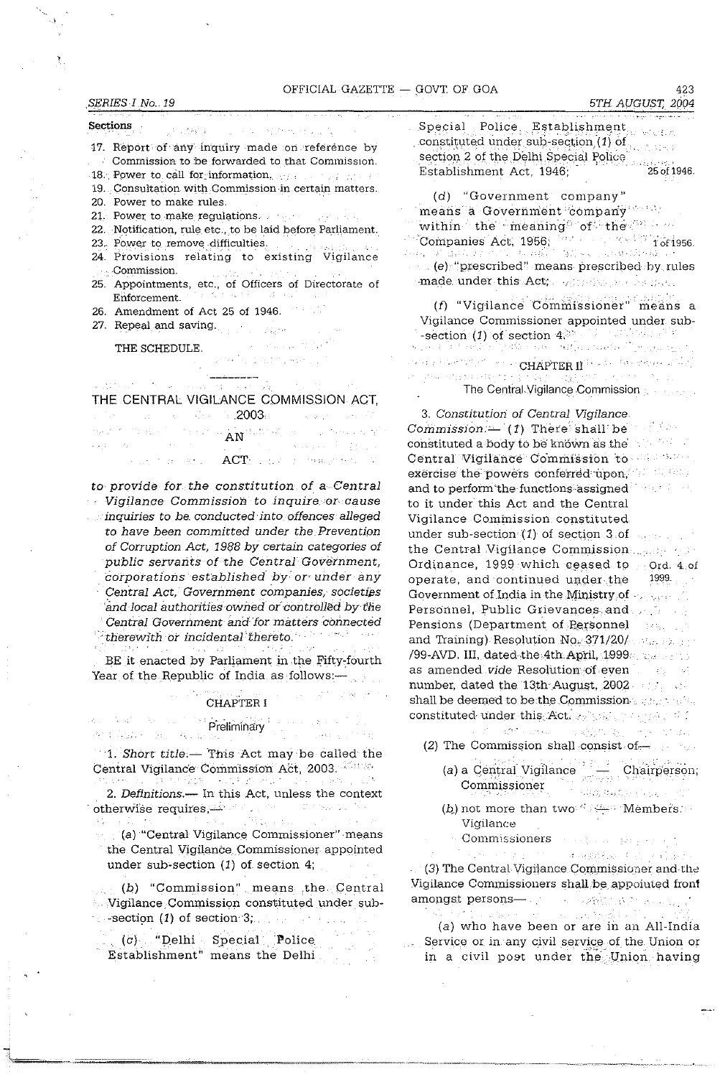**Sections START** TREPARTNE DIS  $\omega_{\rm c} \sim 10^{11}$ 

**17. Report of any inquiry ·made oli -,reference by** 

**Commission to be forwarded to that Commission.** 

**18.** Power to call for information,  $\frac{1}{2}$  and  $\frac{1}{2}$  and  $\frac{1}{2}$ 19. Consultation with Commission in certain matters.

- 
- 20. Power to make rules.
- 21. Power to make regulations.
- 
- 22. Notification, rule etc.,to be laid before Parliament. **23., P·o\_we.r -t9** remov~,-di~ficulties. '. -'". .
- **24. Provisions relating to existing Vigilance**   $\sim$  Commission.
- 25. Appointments, etc., of Officers of Directorate of **Enforcement.**
- 26. Amendment of Act 25 of 1946.
- 27. Repeal and saving.

 $\lambda = 0.11122222233$ THE SCHEDULE.  $\mathbb{E}_{\mathrm{int}} \mathrm{Cone} \left\{ \mathcal{L} \left( \mathcal{L} \right) \leq \mathcal{L} \right\} \leq \mathbb{E}_{\mathrm{int}} \left( \mathcal{L} \right) \mathcal{L} \left( \mathcal{L} \right) \leq \mathcal{L} \left( \mathcal{L} \right) \leq \mathcal{L} \left( \mathcal{L} \right) \leq \mathcal{L} \left( \mathcal{L} \right) \leq \mathcal{L} \left( \mathcal{L} \right) \leq \mathcal{L} \left( \mathcal{L} \right) \leq \mathcal{L} \left( \mathcal{L} \$ 

|  | THE CENTRAL VIGILANCE COMMISSION ACT,                                                                                                                   |
|--|---------------------------------------------------------------------------------------------------------------------------------------------------------|
|  | a Maria da Santa Alba de <b>2003.</b><br>A construída de la construída de la construída de la construída de la construída de la construída de la constr |
|  | where the first particle is the component of $\overline{\text{AN}}$ defined by an analysis of the first particle $\overline{\text{AN}}$                 |
|  | akan wasan sa masa na 2002, ang isang karangang pag                                                                                                     |
|  | is a given by $\mathsf{ACT}_{\mathbb{Z}}$ , and it is then the top of $\mathbb{Z}$                                                                      |

to provide for the constitution of a Central Vigilance Commission to inquire or cause inquiries to be. conducted' into offences alleged to have been committed under the Prevention of Corruption Act, 1988 by certain categories of public servants of the Central Government, corporations established by or under any Central Act, Government companies, societies and local authorities owned or controlled by the Central Government and for matters connected  $\mathbb{P}$  therewith or incidental thereto. $\mathbb{P}$ 

BE it enacted by Parliament in the Fifty-fourth Year of the Republic of India as follows:-

#### CHAPTER I

of the country of

#### $\mathbf{c}_{\mathrm{in}} = \mathbf{V}(\mathbf{a}^{\mathrm{in}})$  . As a quantity of Preliminary • Preliminary • Preliminary • Preliminary • Press • Press • Press • Press • Press • Press • Press • Press • Press • Press • Press • Press • Press • Press • Press • Press • Press • Press • Press • Press • Press

우리 회사 Apple - Control Application

 $\pm$  1. Short title.- This Act may be called the Central Vigilance Commission Act, 2003. is its a nati

2. Definitions.- In this Act, unless the context otherwrse requites,-"'

 $\mathcal{H}_{\mathcal{Q}_1,\mathcal{Q}_2,\mathcal{Q}_3}$ (a) "Central Vigilance Commissioner" means the Central Vigilance commissioner appointed under sub-section (1) of section 4;

(b) "Commission". means ,the Central . Vigilance. Commission constituted under sub- -secti9n (1) of section '3; .

 $(c)$  "Delhi Special Police Establishment" means the Delhi  $\begin{minipage}{.4\linewidth} \textbf{Special} & \textbf{Policy} & \textbf{Estability} \\ \textbf{constituted under sub-section} & \textbf{if} \end{minipage} \begin{minipage}{.4\linewidth} \textbf{Spection} \end{minipage} \begin{minipage}{.4\linewidth} \textbf{Spection} \end{minipage} \begin{minipage}{.4\linewidth} \textbf{Spection} \end{minipage} \begin{minipage}{.4\linewidth} \textbf{Spection} \end{minipage} \begin{minipage}{.4\linewidth} \textbf{Spection} \end{minipage} \begin{minipage}{.4\linewidth} \textbf{Spection} \end{minip$ CER. section 2 of the Delhi Special Police Establishment Act, 1946; (25 of 1946.

(d) "Government company" means a Government company'" " within the meaning of the  $\cdots$ Companies Act, 1956; in the companies of the companies Act, 1956; in the companies of the companies of the companies of the companies of the companies of the companies of the companies of the companies of the companies of  $\ldots$  (e) "prescribed" means prescribed by rules made. under this Act;  $\phi_{\mathbb{C}}(\gamma) \otimes \phi_{\mathbb{C}}(\gamma)$  is gone.

*(f)* "Vigilance Commissioner" means a Vigilance Commissioner appointed under sub- -section  $(1)$  of section  $4^{(3)}$  and  $(1)$  and  $(1)$ **-,:'**  an<br>Chapter of the State of CHAPTER II<sup>S C</sup>enter of the special study<br>Chapter of the State of the Control of the State of the State of the State of the State of the State of the St فوزيا The Central Vigilance Commission

3. Constitution of Central Vigilance Commission.  $(1)$  There shall be  $\mathbb{R}^n$ . constituted a body to be known as the  $\sim 10^{10}~M_\odot$ Central Vigilance Commission to Massion exercise the powers conferred upon, and was  $\label{eq:3} \frac{1}{2} \left( \frac{1}{2} \sum_{i=1}^n \left( \frac{1}{2} \sum_{i=1}^n \frac{1}{2} \right) \right)^2 \leq \frac{1}{2} \sum_{i=1}^n \frac{1}{2} \sum_{i=1}^n \frac{1}{2} \sum_{i=1}^n \frac{1}{2} \sum_{i=1}^n \frac{1}{2} \sum_{i=1}^n \frac{1}{2} \sum_{i=1}^n \frac{1}{2} \sum_{i=1}^n \frac{1}{2} \sum_{i=1}^n \frac{1}{2} \sum_{i=1}^n \frac{1}{2}$ and to perform'the functions assigned to it under this Act and the Central Vigilance Commission cOnstituted under sub-section  $(1)$  of section 3 of the Central Vigilance Commission. Ordinance,  $1999$  which ceased to  $\pm$  Ord. 4 of 1999. operate, and 'continued under.the Government of India in the Ministry of  $+,-,\ldots$ Personnel, Public Grievances, and Pensions (Department of Personnel  $\sim 14\,M_{\rm Pl} \sim 10^3$ and Training) Resolution  $NQ_{k}$  371/20/ Figure 2.11 /99-AVD. III, dated the 4th April, 1999. The contract as amended vide Resolution of even and the set number, dated the 13th August, 2002. shall be deemed to be the Commission ...  $\mathbb{R}^n$  ... constituted under this. Action was proposed to

- $\mathcal{L}^{\prime} = \{ \mathbf{x}^{\prime} \mathbf{C}^{\prime} \} \cup \{ \mathbf{x}^{\prime} \mathbf{x}^{\prime} \} \cup \{ \mathbf{x}^{\prime} \mathbf{x}^{\prime} \} \cup \{ \mathbf{x}^{\prime} \mathbf{x}^{\prime} \mathbf{x}^{\prime} \} \cup \{ \mathbf{x}^{\prime} \} \cup \{ \mathbf{x}^{\prime} \} \cup \{ \mathbf{x}^{\prime} \} \cup \{ \mathbf{x}^{\prime} \} \cup \{ \mathbf{x}^{\prime} \} \cup \{ \mathbf{x}^{\prime} \} \cup \{ \mathbf{x}^{\prime} \}$ Service Stripper (2) The Commission shall consist of  $-$ 
	- (a) a Central Vigilance Commissioner Chairperson;
	- (b) not more than two  $\sim$  Members. Vigilance
		- Commissioners 化分离 医双角鞭毛 化乙烯酸
	- $\mathcal{L}(\mathcal{L}^{\mathcal{L}})$  and  $\mathcal{L}^{\mathcal{L}}$  are  $\mathcal{L}^{\mathcal{L}}$  . The contribution of  $\mathcal{L}^{\mathcal{L}}$ 医细胞结合 经公司管理

(3) The Central Vigilance Commissioner and the Vigilance Commissioners shall 'be. appointed front amongst persons- and a series of the series of the series of the series of the series of the series of the series of the series of the series of the series of the series of the series of the series of the series of the ser

3.349.9 Substitute (a) who have been or are in an All-India Service or in any civil service of the Union or in a civil post under the Union having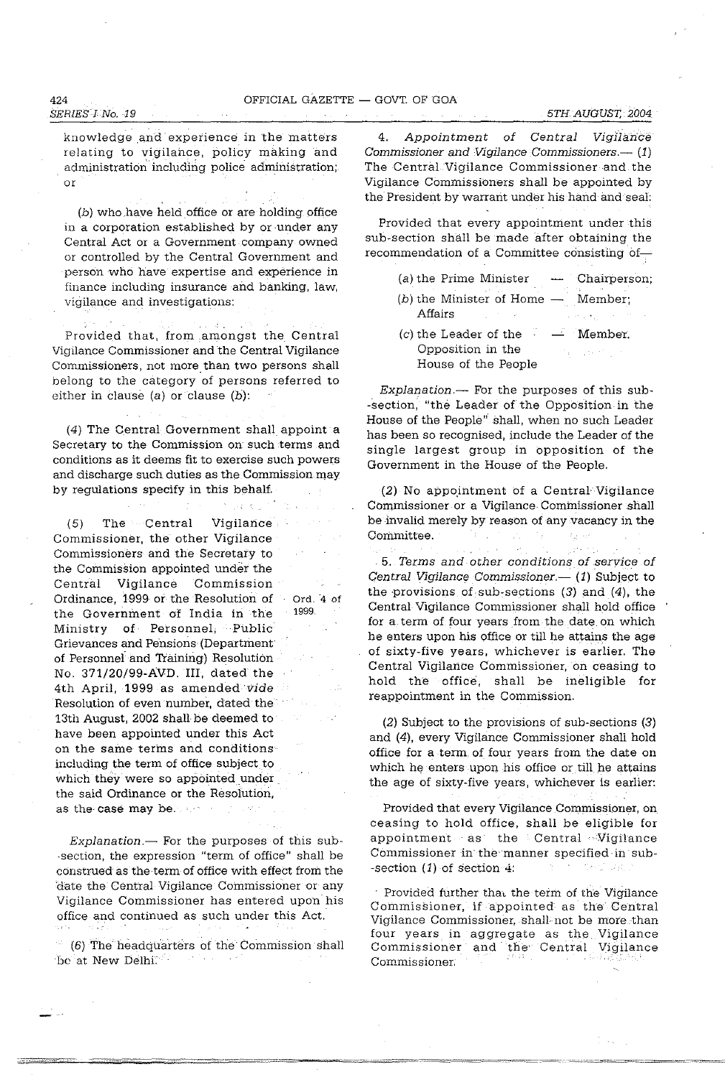*SERIES* I *No.* 19 knowledge and experience in the matters relating to vigilance, policy making and

(b) who.have held office or are holding office in a corporation established by or under any Central Act or a Government company owned or controlled by the Central Government and person who have expertise and experience in finance including insurance and banking, law, vigilance and investigations:

administration including police administration;

Provided that, from ,amongst the Central Vigilance Commissioner and the Central Vigilance Commissioners, not more than two persons shall belong to the category of persons referred to either in clause  $(a)$  or clause  $(b)$ :

(4) The central Government shall appoint a Secretary to the Commission on such terms and conditions as it deems fit to exercise such powers and discharge such duties as the Commission may by regulations specify in this behalf.

34 K 27

(5) The Central Vigilance Commissioner, the other Vigilance Commissioners and the Secretary to the Commission appointed under the Central Vigilance Commission Ordinance, 1999 or the Resolution of the Government of India in the Ministry of Personnel; Public Grievances and Pensions (Department· of Personnel and Training) Resolution No. 371/20/99-AVD.III, dated the 4th April, 1999 as amended vide Resolution of even number, dated the 13th August, 2002 shall be deemed to have been appointed under this Act on the same terms and conditions including the term of office subject to which they were so appointed under the said Ordinance or the Resoiution, as the case may be. Ord. '4 of 1999.

 $Explanation$ - For the purposes of this sub--section, the expression "term of office" shall be construed as the term of office with effect from the date the Central Vigilance Commissioner or any Vigilance Commissioner has entered upon his office and continued as such under this Act.

(6) The headquarters of the Commission shall be at New Delhi<sup>:</sup>

4. Appointment of Central Vigilance Commissioner and Vigilance Commissioners. $-$  (1) The Central Vigilance Commissioner and the Vigilance Commissioners shall be appointed by the President by warrant under his hand and seal:

Provided that every appointment under this sub-section shall be made after obtaining the recommendation of a Committee consisting of-

|         | (a) the Prime Minister $\longrightarrow$ Chairperson;               |                                                                     |
|---------|---------------------------------------------------------------------|---------------------------------------------------------------------|
| Affairs | $(b)$ the Minister of Home $-$ Member;                              | $\mathcal{A}$ and $\mathcal{A}$ , $\mathcal{A}$ , and $\mathcal{A}$ |
|         | $(c)$ the Leader of the<br>Opposition in the<br>House of the People | - Member.<br>Tally of the Monte of                                  |

Explanation.- For the purposes of this sub--section, "the Leader of the Opposition in the House of the People" shall, when no such Leader has been so recognised, include the Leader of the single largest group in opposition of the Government in the House of the People.

 $(2)$  No appointment of a Central Vigilance COmmissioner or a Vigilance Commissioner shall be invalid merely by reason of any vacancy in the Committee.

*5.* Terms and other conditions of service of Central Vigilance Commissioner.- (1) Subject to the provisions of sub-sections  $(3)$  and  $(4)$ , the Central Vigilance Commissioner shall hold office for a term of four years from the date on which he enters upon his office or till he attains the age of sixty-five years, whichever is earlier. The Central Vigilance Commissioner, on ceasing to hold the office, shall be ineligible for reappointment in the Commission.

(2) Subject to the provisions of sub-sections (3) and (4), every Vigilance Commissioner shall hold office for a term. of four years from the date on which he enters upon his office or till he attains the age of sixty-five years, whichever is earlier:

Provided that every Vigilance Commissioner, on ceasing to hold office, shall be eligible for appointment as the Central Vigilance Commissioner in the manner specified in sub--section  $(1)$  of section 4: See Sugar

Provided further that the term of the Vigilance Commissioner, if appointed as the Central Vigilance Commissioner, shall· not be more .than four years in aggregate as the Vigilance Commissioner and the' Central Vigilance Commissioner.

or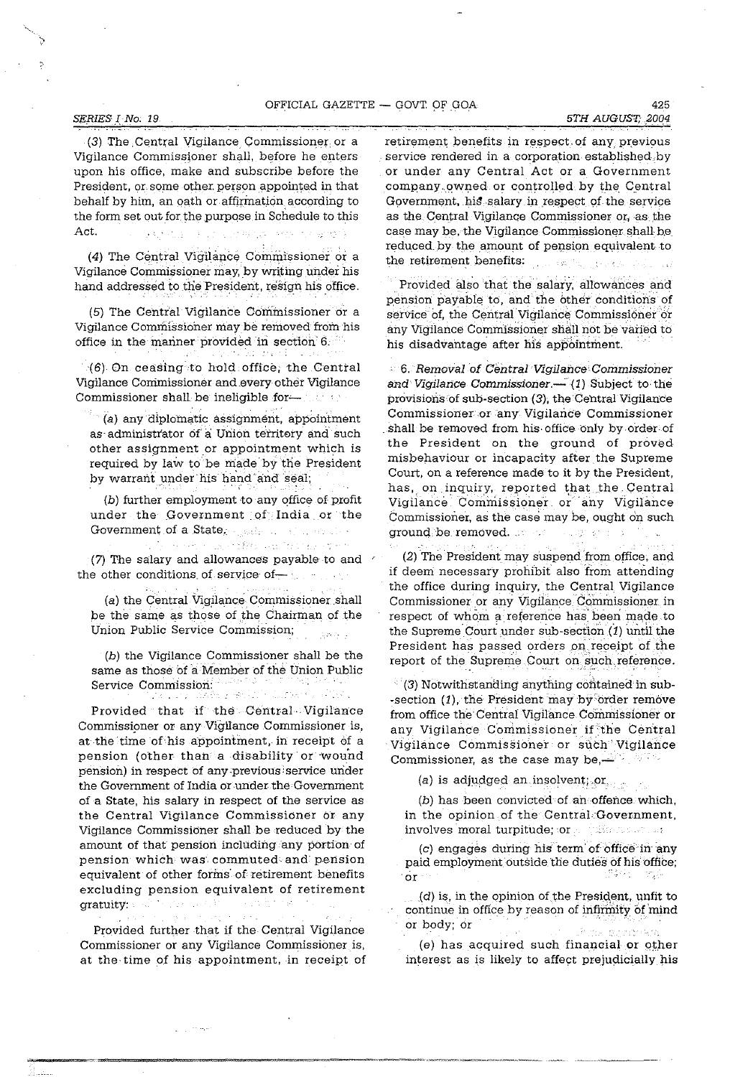#### **SERIES I** No. 19 5TH AUGUST, 2004

(3) The Central Vigilance Commissioner or a Vigilance Commissjoner shall, before he enters upon his office, make and subscribe before the President, or some other person appointed in that behalf by him, an oath or affirmation according to the form set out for the purpose in Schedule to this Act. The paper is a communication of and is

(4) The Central Vigilance Commissioner or a Vigilance Commissioner may, by writing under his hand addressed to the President, resign his office.

(5) The Central Vigilance Commissioner or a Vigilance Commissioner maybe removed from his office in the mariner provided in section 6.

'(6) On ceasing to hold, office; the Centtal Vigilance Commissioner and every other Vigilance Commissioner shall be ineligible for the state of the commissioner shall be ineligible for  $\sim$ 

(a) any diplomatic assignment, appointment as administrator of a Union territory and such other assignment or appointment which is required by law to be made by the President by warrant under his hand and seal;

(b) further employment to any office of profit under the Government of India or the Government of a State, and a state of the state

presented a profile and increasing ex-(7) The salary and allowances payable to and the other conditions of service of  $-$  1.1  $\ldots$ 

(a) the Central Vigilance Commissioner shall be the same as those of the Chairman of the Union Public Service Commission; **Savana** 

(b) the Vigilance Commissioner shall be the same as those of a Member of the Union Public Service Commission: '

1949 P.D

Provided that if the Central Vigilance Commissioner or any Vigilance Commissioner is, at the time of his appointment, in receipt of a pension (other than a disability or wound pension) in respect of any previous service under the Government of India or under the Government of a State, his salary in respect of the service as the Central Vigilance Commissioner of any Vigilance Commissioner shall be reduced by the amount of that pension including any portion of pension which was' commuted and' pension equivalent of other forms' of retirement benefits excluding pension equivalent of retirement gratuity: "When the set of the kurt it in he

Provided further that if the Central Vigilance

Commissioner or any Vigilance Commissioner is, at the time of his appointment, in receipt of

معاجزت

retirement benefits in respect of any previous service rendered in a corporation established.by or under any Central Act or a Government company owned or controlled by the Central Government, his salary in respect of the service as the Central Vigilance Commissioner or, as the case may be, the Vigilance Commissioner shall be reduced by the amount of pension equivalent to the retirement benefits: Salah Suday

Provided also that the salary, allowances and pension payable to, and the other conditions of service of, the Central Vigilance Commissioner or any Vigilance Commissioner shall not be varied to his disadvantage after his appointment.

6. Removal of Central Vigilance Commissioner and Vigilance Commissioner. $-$  (1) Subject to the provisions.of sub-section (3); the Central Vigilance Commissioner or any Vigilance Commissioner shall be removed from his office only by order of the President on the ground of proved misbehaviour or incapacity after the Supreme Court, on a reference made to it by the President, has, on inquiry, reported that the Central Vigilance Commissioner or any Vigilance Commissioner, as the case may be, ought on such ground be removed, support of

(2) The President may suspend from office, and if deem necessary prohibit also from attending the office during inquiry, the Central Vigilance Commissioner or any Vigilance Commissioner in respect of whom a reference has been made to the Supreme Court under sub-section  $(1)$  until the President has passed orders on receipt of the report of the Supreme Court on such reference.

(3) Notwithstanding anything contained in sub--section (1), the President may by 'order remove from office the Central Vigilance Commissioner or any Vigilance Commissioner if the Cen'tral Vigilance Commissioner or such Vigilance Commissioner, as the case may be, $-$ 

(a) is adjudged an insolvent; or  $\qquad \qquad$ 

(b) has been convicted of an offence which, in the opinion of the Central Government, involves moral turpitude; or a primer second

(c) engages during his term of office in any paid employment outside the duties of his office; 이용 가장 나는 'or

 $(d)$  is, in the opinion of the President, unfit to continue in office by reason of infirmity of mind or body; Or

(e) has acquired such financial or other interest as is likely to affect prejudicially his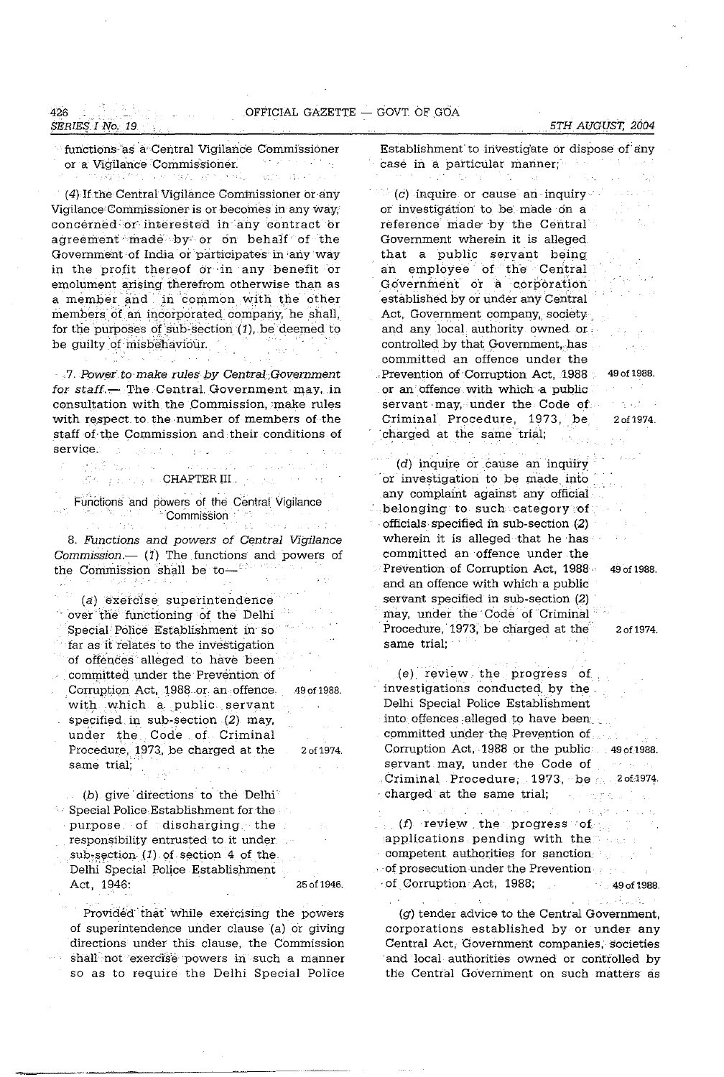# *SERIES I No. 19*

行政案 医山

#### *,5TH AUGUST, 2004*

functions as a Central Vigilance Commissioner<br>
or a Vigilance Commissioner or a Vigilance Commissioner. interactive finance control and control. action against

(4) If the Central Vigilance Commissioner or any Vigilance Commissioner is or becomes in any way, concerned or interested in any contract or agreement made by or on behalf of the Government of India or participates' in ·anyway in the profit thereof or in any benefit or emolument arising therefrom otherwise than as a member and in common with the other members of an incorporated company, he shall, for the purposes of sub-section  $(1)$ , be deemed to be guilty of misbehaviour.

. 7. Power to make rules by Central Government for staff. $-$  The Central Government may, in consultation with the Commission, make rules with respect to the number of members of the staff of. tne Commission and their conditions of **service.**   $\label{eq:2} \frac{1}{2}\sum_{i=1}^n\frac{1}{2\pi i}\sum_{i=1}^n\frac{1}{2\pi i}\sum_{i=1}^n\frac{1}{2\pi i}\sum_{i=1}^n\frac{1}{2\pi i}\sum_{i=1}^n\frac{1}{2\pi i}\sum_{i=1}^n\frac{1}{2\pi i}\sum_{i=1}^n\frac{1}{2\pi i}\sum_{i=1}^n\frac{1}{2\pi i}\sum_{i=1}^n\frac{1}{2\pi i}\sum_{i=1}^n\frac{1}{2\pi i}\sum_{i=1}^n\frac{1}{2\pi i}\sum_{i=1}^n$  $\{x_{i}\}_{i=1}^{n}$ 

> and a  $\mathcal{C}^{\mu}$  . The construction of the construction of the construction of the construction of the construction of the construction of the construction of the construction of the construction of the construction of the co

Functions and powers of the Central Vigilance **"Commission**" | "Commission" | "

8. Functions and powers of Central Vigilance Commission.--  $(1)$  The functions and powers of the Commission shall be to-

 $(a)$  exercise superintendence a Siri 'over the functioning of the Delhi Special Police Establishment in' so far as it relates to the investigation of offences alleged to have been committed under the Prevention of Cormptiqn Act, 1988 or an offence 49 of 1988. with which a public servant specified in sub-section  $(2)$  may, under the Code of Criminal Procedure, 1973, be charged at the 2 of 1974. same trial;  $\mathcal{A}=\pm 1$ 

 $(b)$  give directions to the Delhi  $\sim$  Special Police Establishment for the  $\sim$  $purpose.$  of discharging. the responsibility entrusted to it under  $sub-section. (1)$  of section 4 of the Delhi Special Police Establishment Act, 1946: 25 of 1946.

Provided that while exercising the powers of superintendence under clause (a) or giving directions under this clause, the Commission shall not exercise powers in such a manner so as to require the Delhi Special Police Establishment to investigate or dispose of any case in a particular manner; A. A.

 $(c)$  inquire or cause an inquiry or investigation to be made dn a reference made' by the Central Government wherein it is alleged that a public servant being an employee of the' Central Government or a corporation established by or under any Central Act, Government company, society. and any local authority owned or controlled by that Government, has committed an offence under the . Prevention of Corruption Act, 1988 49 of 1988. or an offence with which a public servant may, under the Code of Criminal Procedure, 1973, be 2of1974. 'charged at the same trial;

 $(d)$  inquire or cause an inquiry . or investigation to be made into . any complaint against any officiai . belonging to such category of . officials· specified in snb-section (2) wherein it is alleged that he has committed an offence under the Prevention of Corruption Act, 1988 49 of 1988. and an offence with which a public servant specified in sub-section  $(2)$ may, under the Code of Criminal Procedure, 1973, be charged at the 2 of 1974. same trial;

**Canto** per en

n nasar S

ida Albankin

(e). review. the progress of investigations condncted. by the. Delhi Special Police Establishment into offences alleged to have been committed under the Prevention of Corruption Act, 1988 or the public  $490f1988$ . servant may, under the Code of presents Criminal Procedure; 1973, be $\sim$  20f1974. , charged at the same. trial; a conservation  $(f)$  review the progress  $of$ 

applications pending with the search competent authorities for sanction  $\cdot$  of prosecution under the Prevention  $\cdot$  and · of CormptionAct, 1988; 49 of 1988.

(g) tender advice to the Central Government, corporations established by or under any Central Act, Government companies,' societies and local authorities owned or controlled by the Central Government on such matters as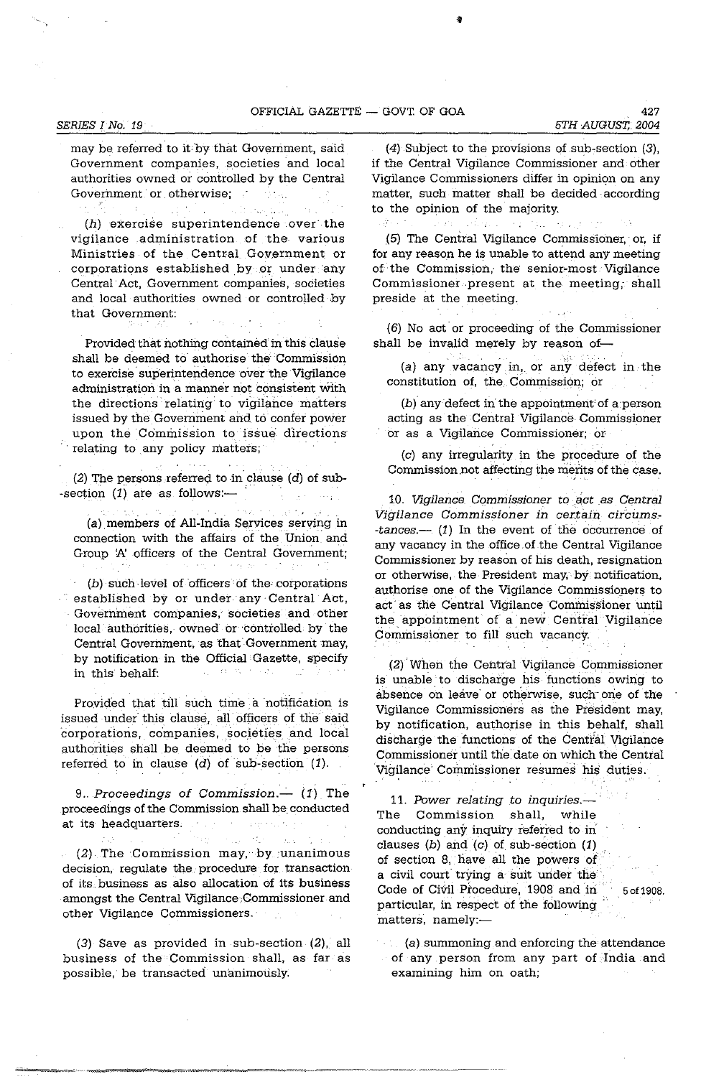$\sim$   $\pm$ 

*SERIES I No. 19 5TH AUGUST, 2004* 

may be referred to it by that Government, said Government companies, societies and local authorities owned or controlled by the Central Government or otherwise; nd trugs

 $\label{eq:2} \mathcal{L}_{\mathcal{A}}\left(\mathcal{L}_{\mathcal{A}}\right) = \mathcal{L}_{\mathcal{A}}\left(\mathcal{L}_{\mathcal{A}}\right) = \mathcal{L}_{\mathcal{A}}\left(\mathcal{L}_{\mathcal{A}}\right)$ ( $h$ ) exercise superintendence over the vigilance administration of the various Ministries of the Central Government or corporations established by or under any Central' Act, Government companies, societies and local authorities owned or controlled by that Government:

Provided that nothing contained in this clause shall be deemed to authorise the Commission to exercise superintendence over the Vigilance administration in a manner not consistent with the directions relating to vigilance matters issued by the Government and to confer power upon the Commission to issue directions relating to any policy matters;

(2) The persons referred to in clause (d) of sub--section  $(1)$  are as follows:-

المصطلح المعاري

(a) members of All-India Services serving in connection with the affairs of the Union and Group 'A' officers of the Central Government;

(b) such level of officers of the corporations established by or under any' Central Act, Government companies, societies and other local authorities, owned or 'controlled by the Central Government, as that Government may, by notification in the Official Gazette, specify in this behalf:  $\mathbb{R}^{n}$  and  $\mathbb{R}^{n}$  . If  $\sim 15$  .

Provided that till such time a notification is issued under this clause, all officers of the said corporations, companies, societies and local authorities shall be deemed to be the persons referred to in clause  $(d)$  of sub-section  $(1)$ .

*9., Proceedings* of *Commission.-* (1) The proceedings of the Commission shall be conducted at its headquarters. The second services

man sa terminan tin  $\mathcal{F}$  ,  $\mathcal{R}$  . (2) The Commission may, by unanimous decision, regulate the procedure for transaction of its, business as also allocation of its business amongst the Central Vigilance Commissioner and other Vigilance Commissioners.'

(3) Save as provided in sub-section (2). all business of the Commission shall, as far as possible, be transacted unanimously.

(4) Subject to the provisions of sub, section (3), if the Central Vigilance Commissioner and other Vigilance Commissioners differ in opinion on any matter, such matter shall be decided according to the opinion of the majority.

and conservation of the same of the i Angels

(5) The Central Vigilance Commissioner, or, if for any reason he is unable to attend any meeting of the Commission, the' senior-most Vigilance Commissioner present at the meeting, shall preside at the meeting.

(6) No act or proceeding of the Commissioner shall be invalid merely by reason of-

(a) any vacancy in, or any defect in the constitution of, the, Commission; or

(b) any defect in'the appointment of a'person acting as the Central Vigilance Commissioner or as a Vigilance Commissioner; or

(c) any irregularity in the procedure of the Commission not affecting the merits of the case.

10. Vigilance Commissioner to act as Central *Vigilance Commissioner in certain circums- -tances.-* (1) In the event of the occurrence of any vacancy in the office of the Central Vigilance Commissioner by reason of his death, resignation or otherwise, the President may, by notification, authorise one of the Vigilance Commissioners to act as the Central Vigilance Commissioner until the appointment of a new Central Vigilance Commissioner to fill such vacancy.

(2) 'When the Central Vigilance Commissioner is unable to discharge his functions owing to absence on leave or otherwise, such one of the Vigilance Commissioners as the President may, by notification, authorise in this behalf, shall discharge the functions of the Central Vigilance Commissioner until the date on which the Central Vigilance Commissioner resumes his duties.

11. Power relating to *inquiries.*-The Commission shall, while conducting any inquiry referred to in clauses (b) and (c) of sub-section  $(1)$ of section 8, have all the powers of a civil court trying a suit under the Code of Civil Procedure, 1908 and in 5 of 1908. particular, in respect of the following matters, namely:-

(a) summoning and enforcing the attendance of any person from any part of India and examining him on oath;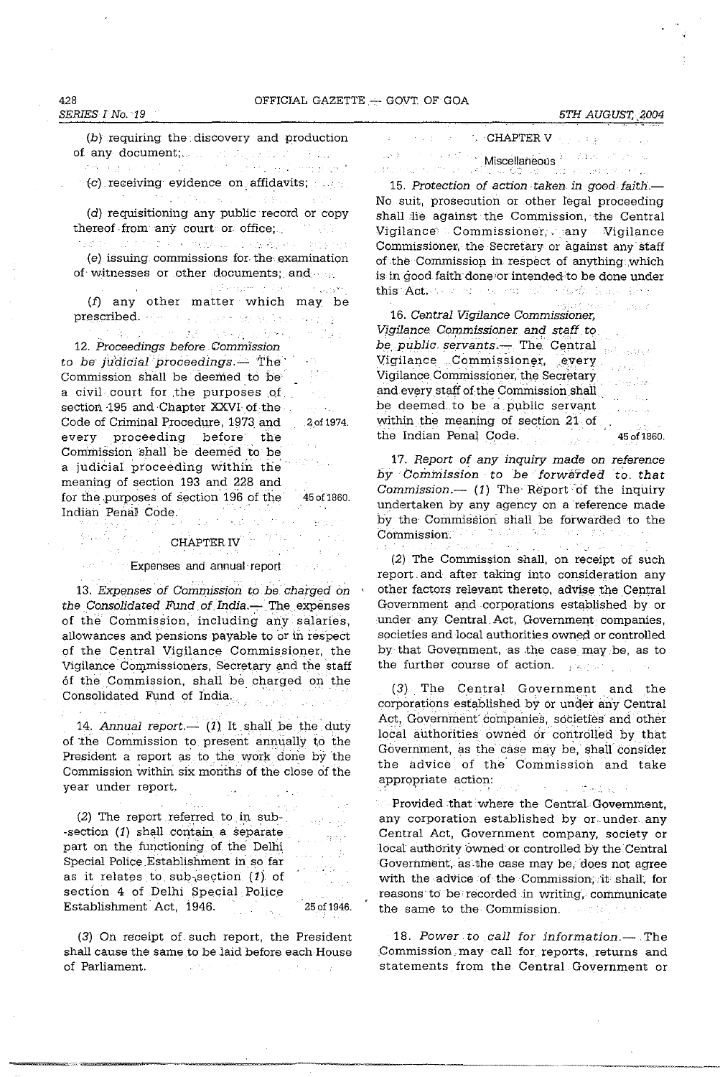$(b)$  requiring the discovery and production of any document;  $\mathbb{E}[\mathbb{E}[\mathbb{E}[\mathbb{E}[\mathbb{E}[\mathbb{E}[\mathbb{E}[\mathbb{E}[\mathbb{E}[\mathbb{E}[\mathbb{E}[\mathbb{E}[\mathbb{E}[\mathbb{E}[\mathbb{E}[\mathbb{E}[\mathbb{E}[\mathbb{E}[\mathbb{E}[\mathbb{E}[\mathbb{E}[\mathbb{E}[\mathbb{E}[\mathbb{E}[\mathbb{E}[\mathbb{E}[\mathbb{E}[\mathbb{E}[\mathbb{E}[\mathbb{E}[\mathbb{E}[\mathbb{E}[\mathbb{E}[\mathbb{E$ 

(c) receiving evidence on affidavits;  $\sim$ 

( $d$ ) requisitioning any public record or copy ereof from any court or office; thereof from any court or office;

 $\mathbb{E}_{\mathbf{Z}}[\mathcal{L}_0(\mathbf{Z})] = \mathbb{E}_{\mathbf{Z}}[\mathcal{L}_0(\mathbf{Z})] = \mathbb{E}_{\mathbf{Z}}[\mathcal{L}_0(\mathbf{Z})] = \mathbb{E}_{\mathbf{Z}}[\mathcal{L}_0(\mathbf{Z})] = \mathbb{E}_{\mathbf{Z}}[\mathcal{L}_0(\mathbf{Z})] = \mathbb{E}_{\mathbf{Z}}[\mathcal{L}_0(\mathbf{Z})] = \mathbb{E}_{\mathbf{Z}}[\mathcal{L}_0(\mathbf{Z})] = \mathbb{E}_{\mathbf{Z}}[\mathcal{L}_0(\mathbf{Z})] = \mathbb{$ (e) issuing commissions for· the examination of witnesses or other documents; and

and services of the company's (f) any other matter which may be prescribed. Here we have the second property of the second property of the second property of the second property of the second property of the second property of the second property of the second property of the second pr

Thanks and March Search Break and Davis *12.* Proceedings before Commission to be judicial proceedings.- $The$  $22.2\%$ Commission shall be deemed to be a civil court for the purposes of section. 195 and Chapter XXVI of the  $\omega_{\rm{max}}$ Code of Criminal Procedure, 1973 and 201974. every proceeding before the Commission shall be deemed to be a judicial proceeding within the' meaning of section 193 and 228 and for the purposes of section 196 of the 45 of 1860. Indian Penal Code.

## CHAPTER IV

#### Expenses and annual report

13. Expenses of Commission to be charged on the Consolidated Fund of India.- The expenses of the Commissian, including any salaries, allowances and pensions payable to or in respect .of the Central Vigilance Commissioner, the Vigilance Commissioners, Secretary and the staff of the Commission, shall be charged on the Consolidated Fund of India.

14. Annual report.—  $(1)$  It shall be the duty of the Commission to present annually to the President a report as to the work done by the Commission within six months of the close of the year under report.

المتحال

 $(2)$  The report referred to in sub--section  $(1)$  shall contain a separate part on the functioning of the Delhi Special Police Establishment in. so far as it relates to sub-section  $(1)$  of section 4 of Delhi Special Police Establishment Act, 1946. 25 of 1946.

 $\mathcal{L}^{\text{max}}(\mathcal{L})$ 

ndi pian ing p 도로가

and .

 $\Delta$ 

 $\mathcal{D} \rightarrow 0$ 

(3) On receipt of such report, the President shall cause the same to be laid before each House of Parliament.  $\sim 10^{11}$  m  $^{-1}$ 

**CHAPTER V**  $\epsilon$  ,  $\epsilon$  ,  $\epsilon$  ,  $\epsilon$  $\tilde{z}_1 \geq \tilde{z}_2$ Miscellaneous <sup>- Mi</sup>scellaneous - Albert - Miscellaneous<br>Miscellaneous - Albert - Albert - Albert - Albert - Albert - Albert - Albert - Albert - Albert - Albert - Alb  $\sqrt{N_{\rm H}^2 + N_{\rm H}^2}$ 339 网络大家 化四氯化碳

15. Protection of action taken in good faith.-No suit, prosecution or other legal proceeding shall lie against the Commission, the Central Vigilance Commissioner;. any Vigilance Commissioner, the· Secretary or against any' staff of the Commission in respect of anything which is in good faith done or intended to be done under this Action of an energy will effect them then

e son in T  $\sqrt{2} \, \Omega_{\rm DM} \, \Omega_{\rm c}$ 16. Central Vigilance Commissioner, Vigilance Commissioner and staff to be public servants. The Central Vigilance Commissioner, every  $\sim 2000^{-10}$ Vigilance Commissioner, the Secretary and every staff of the Commission shall  $\hskip .1in .$  $\hat{\tau}_{\rm max}$ be deemed to be a public servant within the meaning of section 21 of the Indian Penal Code. 450f 1860.

17. Report of any inquiry made on reference by Commission to be forwarded to that Commission.-- (1) The Report of the inquiry undertaken by any agency on a 'reference made by the Commission shall be forwarded to the Commission. i Theodoria 74 L 결혼 보충  $\sim 100$ a presidente

(2) The Commission shall, on receipt of such report. and after taking into consideration any other factors relevant thereto, advise the Central Government and corporations established by or under any Central. Act, Government companies, societies and local authorities owned or controlled by that Government, as the case may.be, as to the further course of action. The second the further

(3) The Central Government and the corporations established by or under any Central Act, Government companies, societies and other local authorities owned or controlled by that Government, as the case may be, shail consider the advice' of' the' Commission and take appropriate action:  $-1.5$  ,  $-1.5$  ,  $-1.5$  ,  $-1.5$ 

Provided that where the Central-Government, any corporation established by or under any Central Act, Government company, society or local authority owned or controlled by the Central Government, as the case may be, does not agree with the advice of the Commission; it shall, for reasons to be recorded in writing, communicate the same to the Commission.

18. Power to call for information.- The Commission may call for reports, returns and statements from the Central Government or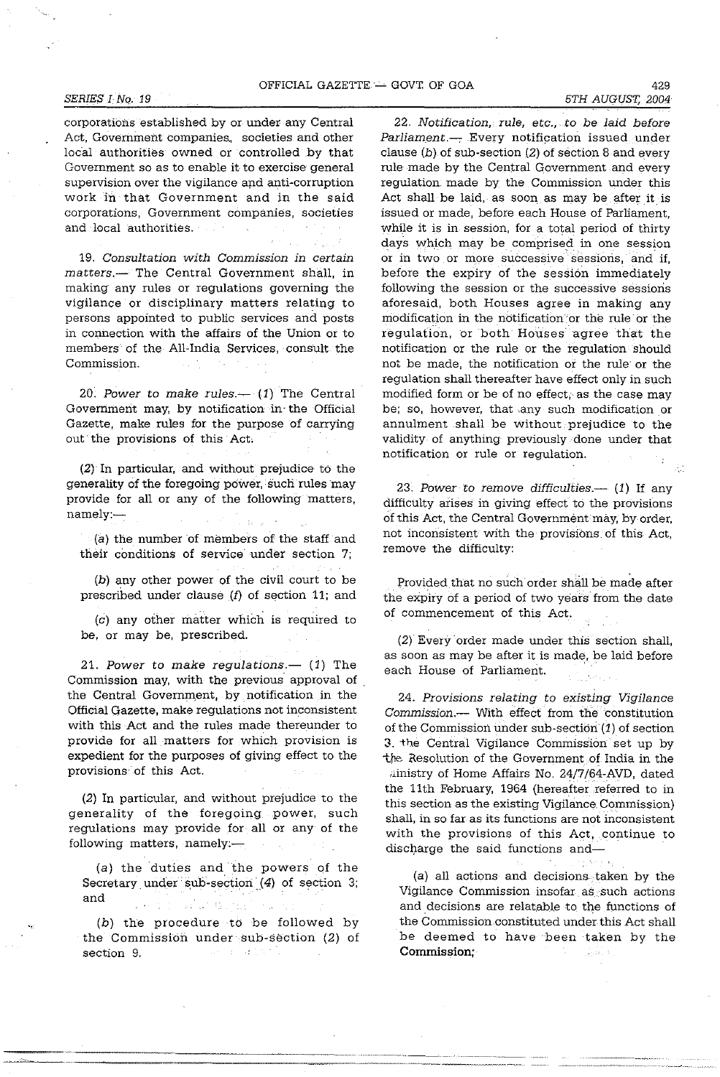#### *SERIES I No.* 19 *5TH AUGUST, 2004*

corporations established by or under any Central Act, Government companies. societies and other local authorities owned or controlled by that Government so as to enable it to exercise general supervision over the vigilance apd anti-corruption work in that Government and in the said corporations, Government companies, societies and local authorities.  $\Delta$ 

19. Consultation with Commission in certain matters.- The Central Government shall, in making any rules or regulations governing the vigilance or disciplinary matters relating to persons appointed to public services and posts in connection with the affairs of the Union or to members of the All-India Services, consult the Commission.

20. Power to make rules. $-$  (1) The Central Government may, by notification in the Official Gazette, make rules for the purpose of carrying out'the provisions of this Act.

(2) In particular, and without prejudice to the generality of the foregoing power, such rules may provide for all or any of the following matters, namely:-

(a) the number of members of the staff and their conditions of service under section 7;

(b) any other power of the civil court to be prescribed under clause (f) of section 11; and

(c) any other matter which is required to be, or may be, prescribed.

21. Power to make regulations. $-$  (1) The Commission may, with the previous approval of . the Central Government, by notification in the Official Gazette, make regulations not inconsistent with this Act and the rules made thereunder to provide for all matters for which provision is expedient for the purposes of giving effect to the provisions' of this Act.

(2) In particular, and without prejudice to the generality of the foregoing power, such regulations may provide for all or any of the following matters, namely: $-$ 

(a) the duties and the powers of the Secretary under sub-section  $(4)$  of section 3; and go and  $\mathcal{A}=\mathcal{A}=\mathcal{A}$  . Trus

(b) the procedure to be followed by the Commission under sub-section (2) of section 9. say a sa bha

"

 $22.$  Notification, rule, etc., to be laid before Parliament.-- Every notification issued under clause (b) of sub-section (2) of section 8 and every rule made by the Central Government and every regulation made by the Commission under this Act shall be laid, as soon as may be after it is issued or made, before each House of Parliament, while it is in session, for a total period of thirty days which may be comprised in one session **or in two or more successive' sessioris, and if,**  before the expiry of the session immediately following the session or the successive sessions aforesaid, both Houses agree in making any modification in the notification 'or the rule or the regulation, or both Houses agree that the notification or the rule or the regulation should not be made, the notification or the rule' or the regulation shall thereafter have effect only in such modified form or be of no effect, as the case may be; so, however, that .any such modification or annulment shall be without prejudice to the validity of anything previously done under that notification or rule or regulation.

23. Power to remove difficulties. $-$  (1) If any difficulty arises in giving effect to the provisions of this Act, the Central Government may, by order, not inconsistent with the provisions of this Act, remove the difficulty:

Provided that no such order shall be made after the expiry of a period of two years from the date of commencement of this Act.

(2)' Every' order made under this section shall, as soon as may be after it is made, be laid before each House of Parliament.

24. Provisions relating to existing Vigilance Commission.-- With effect from the constitution of the Commission under sub-section (1) of section 3. the Central Vigilance Commission set up by the Resolution of the Government of India in the ainistry of Home Affairs No. 24/7/64-AVD, dated the 11th February, 1964 (hereafter .referred to in this section as the existing Vigilance Commission) shall, in so far as its functions are not inconsistent with the provisions of this Act, continue to discharge the said functions and-

(a) all actions and decisions ,taken by the Vigilance Commission insofar as such actions and decisions are relatable to the functions of the Commission constituted under this Act shall be deemed to have been taken by the Commission; Service. فالرقدوس

の出席の かき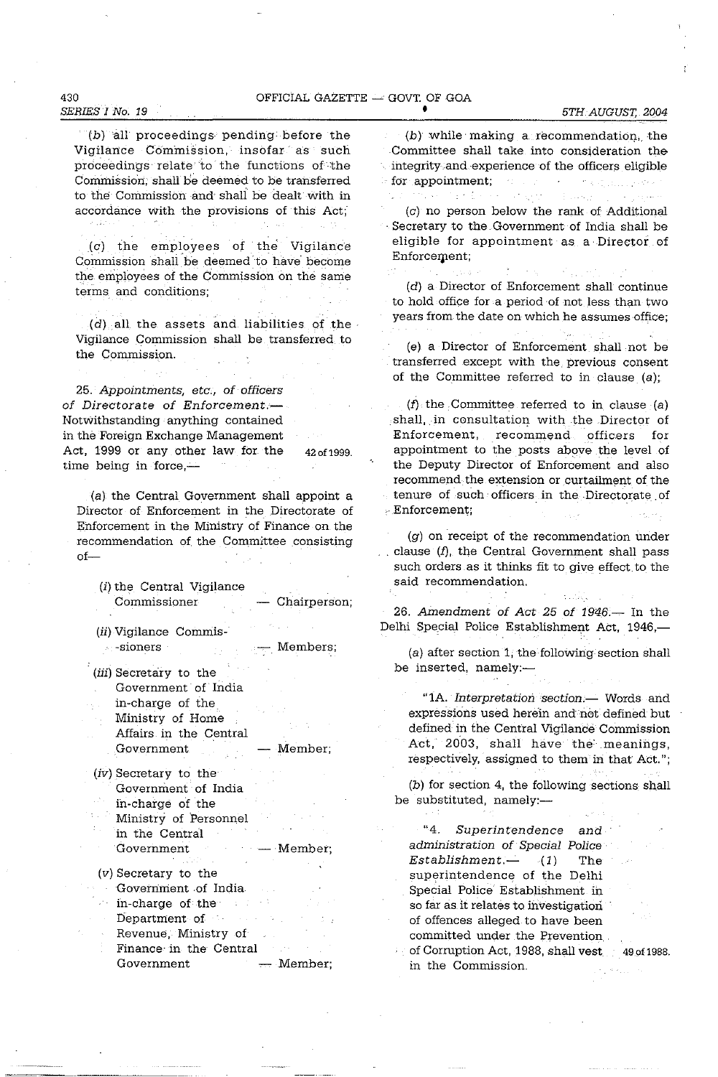#### OFFICIAL GAZETTE  $-$  GOVT. OF GOA

e i s

# *SERIES* 1 *No. 19*

430

 $(b)$  all proceedings pending before the Vigilance Commission, insofar as such proceedings' relate to the functions of· the Commission, shall be deemed to be transferred to the Commission and shall be dealt with in accordance with the provisions of this Act;'

(c) the employees of' the Vigilance Commission shall be deemed to have become the employees of the Commission on the same terms and conditions;

(d) all the assets and liabilities of the Vigilance Commission shall be transferred to the Commission.

25. Appointments, etc., of officers of Directorate of Enforcement.-Notwithstanding anything contained in the Foreign Exchange Management Act, 1999 or any other law for the time being in force, $-$ 42 of 1999.

(a). the Central Government shall appoint a Director of Enforcement in the Directorate of Enforcement in the Ministry of Finance on the recommendation of the Committee consisting  $of-$ 

(i) the Central Vigilance Commissioner - Chairperson;

(ii) Vigilance Commis- **-sioners**  Members;

- (iii) Secretary to the Government of India in-charge of the. Ministry of Home Affairs in the Central Government - Member;
- (iv) Secretary to the Government of India in-charge of the Ministry of Personnel in the Central Government (v) Secretary to the Government of India in-charge of the' Department of Member;
	- Revenue, Ministry of
	- $\mathcal{A}=\mathcal{A}$ Finance' in the Central Government — Member;

(b) while' making a recommendation,. the Committee shall take into consideration the integrity and experience of the officers eligible for appointment; de la component de la capitalité

大学 (金) (c) no person below the rank of Additional . Secretary to the Government of India shall be eligible for appointment as a Director of Enforcement;

 $\sim 10^{-11}$ (d) a Director of Enforcement shall continue to hold office for a period of not less than two years from the date on which he assumes office; (e) a Director of Enforcement shall not be transferred except with the. previous consent

of the Committee referred to in clause (a);

 $(f)$  the Committee referred to in clause (a) shall, in consultation with the Director of Enforcement, recommend officers for appointment to the posts abcwe the level of the Deputy Director of Enforcement and also recommend the extension or curtailment of the tenure of such officers in the Directorate. of c' Enforcement;

(g) on receipt of the recommendation under clause  $(f)$ , the Central Government shall pass such orders as it thinks fit to give effect to the said recommendation.

da Salama

26. Amendment of Act 25 of 1946.- In the Delhi Special Police Establishment Act, 1946,-

(a) after section 1, the following section shall be inserted, namely:-

"1A. Interpretation section.- Words and expressions used herein and not defined but defined in the Central Vigilance Commission Act, 2003, shall have the meanings, respectively, assigned to them in that Act.";

(b) for section 4, the following sections shall be substituted, namely:-

"4. Superintendence and administration of Special Police  $Estabilishment.$  (1) The superintendence of the Delhi Special Police Establishment in so far as it relates to investigatiori of offences alleged to have been committed under the Prevention.

of Corruption Act, 1988, shall vest. 49.of 1988. in the Commission.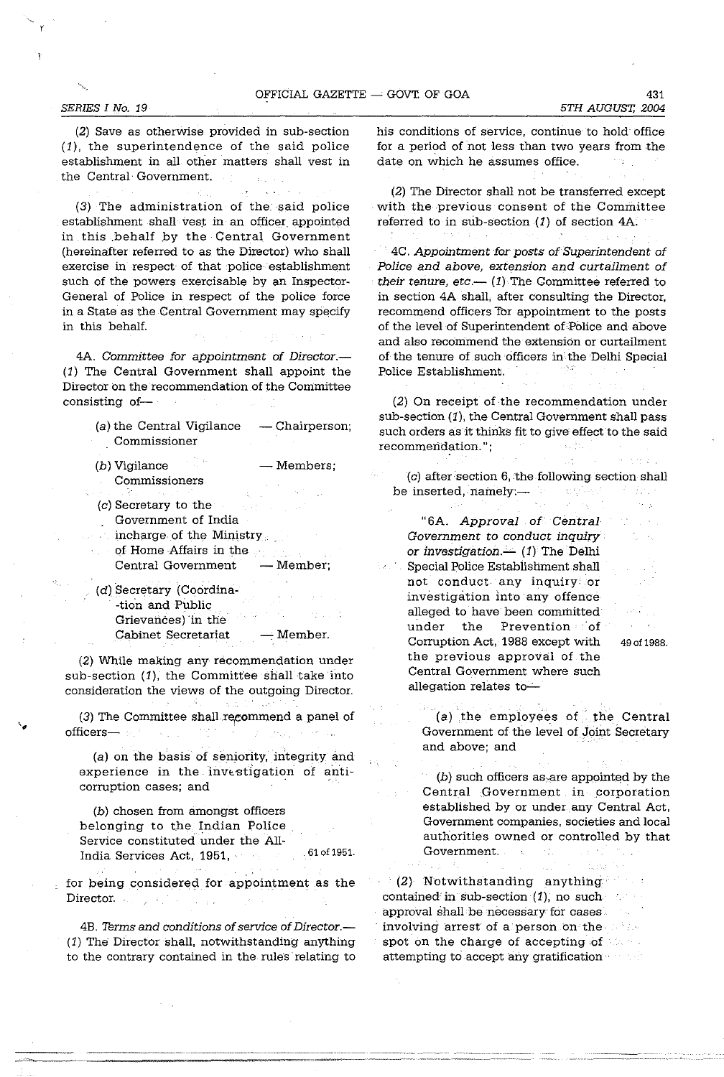(2) Save as otherwise provided in sub-section (1), the superintendence of the said police establishment in all other matters shall vest in the Central· Government.

(3) The administration of the. said police establishment shall vest in an officer appointed in this .behalf by the· Central Government (hereinafter referred to as the Director) who shall exercise in respect of that police establishment such of the powers exercisable by an Inspector-General of Police in respect of the police force in a State as the Central Government may specify in this behalf.

4A. *Committee for appointment* of *Director.-* (1) The Central Government shall appoint the Director on the recommendation of the Committee consisting of-

- (a) the Central Vigilance  $-$  Chairperson; Commissioner
- $(b)$  Vigilance  $-$  Members; Commissioners
- (c) Secretary to the Government of India
- incharge of the Ministry  $\alpha$
- qf Home Affairs in the Central Government - Member;
- (d) Secretary (Coordina- -tion and Public Grievances) in the Cabinet Secretariat - Member.

(2) While making any recommendation under sub-section (1), the Committee shall take into consideration the views of the outgoing Director.

(3) The Committee shall recommend a panel of officers $\mathcal{L}_{\rm{max}}$ 

 $\mathcal{L}^{\mathcal{L}}(\mathcal{L}^{\mathcal{L}}(\mathcal{L}^{\mathcal{L}}(\mathcal{L}^{\mathcal{L}}(\mathcal{L}^{\mathcal{L}}(\mathcal{L}^{\mathcal{L}}(\mathcal{L}^{\mathcal{L}}(\mathcal{L}^{\mathcal{L}}(\mathcal{L}^{\mathcal{L}}(\mathcal{L}^{\mathcal{L}}(\mathcal{L}^{\mathcal{L}}(\mathcal{L}^{\mathcal{L}}(\mathcal{L}^{\mathcal{L}}(\mathcal{L}^{\mathcal{L}}(\mathcal{L}^{\mathcal{L}}(\mathcal{L}^{\mathcal{L}}(\mathcal{L}^{\mathcal{L$ 

(a) on the basis of senjority, integrity and experience in the investigation of anticorruption cases; and

(b) chosen from amongst officers belonging to the Indian Police Service constituted under the All-India Services Act, 1951, 61 of 1951.

for being considered for appointment as the Director.  $\mathbb{Z}^{\times 2}$ 

4B. *Thrms and conditions* of *service* of *Director.-* (1) The Director shall, notwithstanding anything to the contrary contained in the rules relating to his conditions of service, continue to hold· office for a period of not less than two years from the date on which he assumes office.

(2) The Director shall not be transferred except with the previous consent of the Committee referred to in SUb-section (1) of section 4A.

mig .

. 4C. *Appointment for posts* of *Superintendent* of *Police and above, extension and curtailment* of *their tenure, etc.* $-$  (1) The Committee referred to in section 4A shall, after consulting the Director, recommend officers Tor appointment to the posts of the level of Superintendent of Police and above and also recommend the extension or curtailment of the tenure of such officers in the Delhi Special Police Establishment.

(2) On receipt of ·the recommendation under  $sub-section (1)$ , the Central Government shall pass such orders as it thinks fit to give effect to the said recommendation." ;

 $(c)$  after section 6, the following section shall be inserted, namely:- Đo k

"6A. *Approval* of *Central Government* to *conduct inquiry or investigation.*--- (1) The Delhi Special Police Establishment shall not conduct any inquiry· or investigation into any offence alleged to have been committed under the Prevention of Corruption Act, 1988 except with 49 of 1988. the previous approval of the Central Government where such allegation relates to $-$ 



 $(a)$  the employees of. the Central Government of the level of Joint Secretary and above; and

 $(b)$  such officers as, are appointed by the Central Government in.corporation established by or under any Central Act, Government companies, societies and local authorities owned or controlled by that Government.  $\Lambda_{\rm eff}$  $\sim$   $\pm$ 

. (2) Notwithstanding anything· contained'in sub-section (1), no such approval shall· be necessary for cases involving arrest of a person on the spot on the charge of accepting of attempting to accept any gratification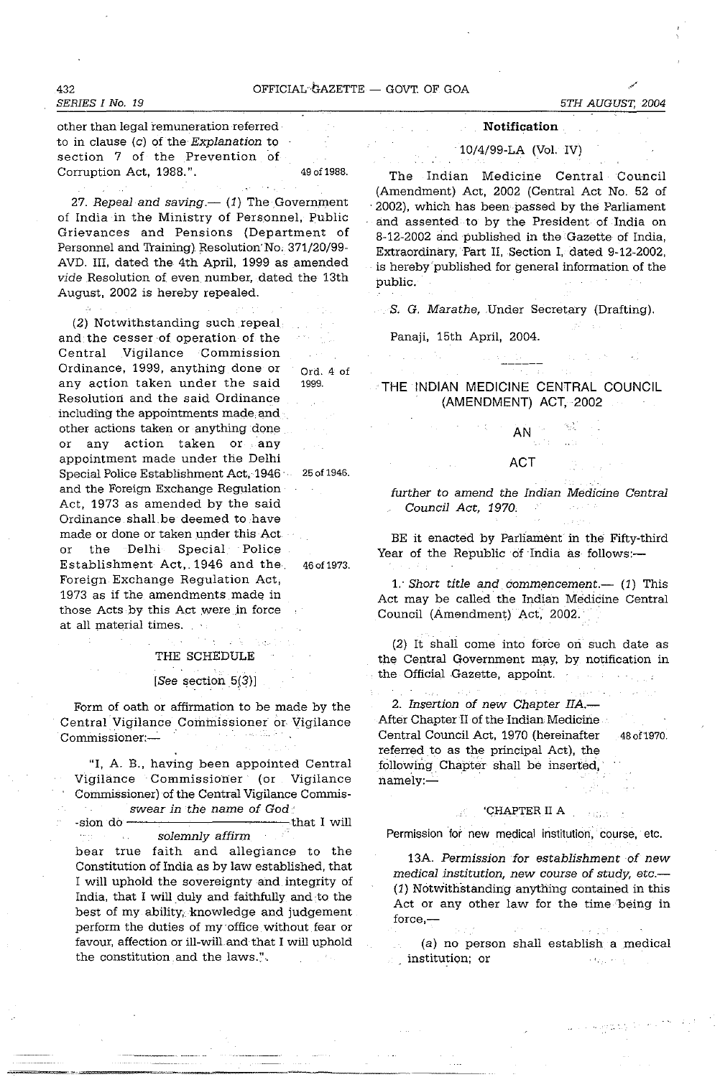*SERIES I No. 19* 

other than legal remuneration referred . to in clause  $(c)$  of the Explanation to section 7 of the Prevention of Corruption Act, 1988.". 49 of 1988.

27. Repeal and saving. $-$  (1) The Government of India in the Ministry of Personnel, Public Grievances and Pensions (Department of Personnel and Training). Resolution No. 371/20/99-AVD. III, dated the 4th April, 1999 as amended vide Resolution of even number, dated the 13th August, 2002 is hereby repealed.

(2) Notwithstanding such repeal and the cesser of operation of the Central Vigilance Commission Ordinance, 1999, anything done or  $Ord. 4 of$ any action taken under the said 1999. Resolution and the said Ordinance including the appointments made, and other actions taken or anything done or any action taken or any appointment made under the Delhi Special Police Establishment Act, 1946 . 25 of 1946. and the Foreign Exchange Regulation Act, 1973 as amended by the said Ordinance shall.be deemed to have made or done or taken under this Act or the Delhi Special Police Establishment Act,. 1946 and the. 46 of 1973. Foreign Exchange Regulation Act, 1973 as if the amendments made in those Acts by this Act were in force at all material times.

# THE SCHEDULE

## [See section 5(3)]

Form of oath or affirmation to be made by the Central Vigilance Commissioner or Vigilance Commissioner:-

"I, A. B., having been appointed Central Vigilance Commissioner (or Vigilance Commissioner) of the Central Vigilance Commisswear in the name of God'  $\sigma_{\rm{max}}$ 

 $-t$  -sion do  $-t$  and  $t$  will solemnly affirm

bear true faith and allegiance to the Constitution of India as by law established, that I will uphold the sovereignty and integrity of India, that I will duly and faithfully and to the best of my ability, knowledge and judgement perform the duties of my office without fear or favour, affection or ill-will. and that I will uphold the constitution and the laws.".

**Notification** 

10/4/99-LA (Vol. IV)

The Indian Medicine Central Council (Amendment) Act, 2002 (Central Act No. 52 of . 2002), which has been passed by the Parliament and assented to by the President of India on 8-12-2002 and published in the Gazette of India, Extraordinary, Part II, Section I, dated 9-12-2002, is hereby'published for general information of the public.

S. G. Marathe, Under Secretary (Drafting).

Panaji, 15th April, 2004.

**THE** INDIAN MEDICINE CENTRAL COUNCIL (AMENDMENT) ACT, 2002

AN

ACT

further to amend the Indian Medicine Central Council Act, 1970.

BE it enacted by Parliament in the Fifty-third Year of the Republic of India as follows:-

1. Short title and commencement.  $(1)$  This Act may be called the Indian Medicine Central Council (Amendment) Act, 2002.

(2) It shall come into force on such date as the Central Government may, by notification in the Official Gazette, appoint.

2. Insertion of new Chapter IIA.-After Chapter II of the Indian Medicine Central Council Act, 1970 (hereinafter 48 of 1970. referred to as the principal Act), the following Chapter shall be inserted, namely:-

## 'CHAPTER II A

Permission for new medical institution, course, etc.

13A. Permission for establishment of new medical institution, new course of study, etc.-(1) Notwithstanding anything contained in this Act or any other law for the time being in force,-

(a) no person shall establish a medical institution; or  $\sim 2\mu_{\rm B}$  , and  $\mu_{\rm s}$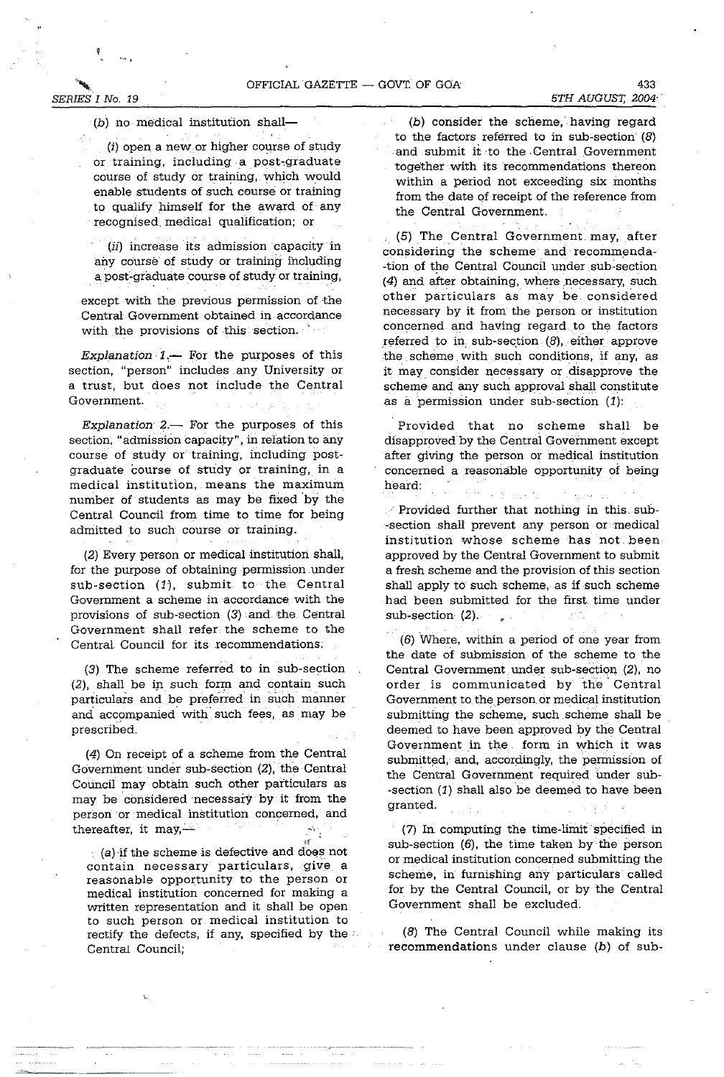*SERIES I No. 19 5TH AUGUST, 2004"* 

(b) no medical institution shall-

 $(i)$  open a new or higher course of study or training, including a post,graduate course of study or training, which would enable students of such course or training to qualify himself for the award of any recognised. medical qualification; or

(ii) increase its admission capacity in any course of study or training including a post-graduate course of study or training,

except with the previous permission of the Central Government obtained in accordance with the provisions of this section.

Explanation  $1$ .- For the purposes of this section, "person" includes any University or a trust, but does not include the Central Government.

Explanation  $2-$  For the purposes of this section, "admission capacity", in relation to any course of study or training, including postgraduate course of study or training, in a medical institution, means the maximum number of students as may be fixed by the Central Council from time to time for being admitted to such course or training.

(2) Every person or medical institution shall, for the purpose of obtaining permission under sub-section (1), submit to the Central Government a scheme in accordance with the provisions of sub-section  $(3)$  and the Central Government shall refer the scheme to the Central Council for its recommendations;

(3) The scheme referred to in sub-section (2), shall be in such form and contain such particulars and be preferred in such manner and accompanied with such fees, as may be prescribed.

(4) On receipt of a scheme from the Central Government under sub-section (2), the Central Council may' obtain such other particulars as may be considered necessary by it from the person 'or medical institution concerned, and thereafter, it may, $-$ 

(a) if the scheme is defective and does not contain necessary particulars, give a reasonable opportunity to the person or medical institution concerned for making a written representation and it shall be open to such person or medical institution to rectify the defects, if any, specified by the  $\cdot$ Central Council;

(b) consider the scheme, having regard to the factors referred to in sub-section (8) and submit it ,to the .Central Government together with its recommendations thereon within a period not exceeding six months from the date of receipt of the reference from the Central Government.

(5) The Central Government may, after considering the scheme and recommenda- -tion of the Central Council under sub-section (4) and after obtaining, where necessary, such other particulars as may be considered necessary by it from the person or institution concerned and having regard to the factors referred to in sub-section  $(8)$ , either approve the scheme with such conditions, if any, as it may. consider necessary or disapprove the scheme and any such approval shall constitute as a permission under sub-section  $(1)$ :

Provided that no scheme shall be disapproved by the Centrai Government except after giving the person or medical institution concerned a reasonable opportunity of being heard:

 $\frac{1}{2} \frac{1}{2} \frac{1}{2} \frac{1}{2}$ 

. Provided further that nothing in this sub- \_section .shaH prevent any person or medical institution whose scheme has not .been approved by the Central Government to submit a fresh scheme and the provision of this section shall apply to such scheme, as if such scheme had been submitted for the first. time under sub-section (2).  $\mathbf{r}$ 

(6) Where, within a period of one year from the date of submission of the scheme to the Central Government under sub-section (2), no order is communicated by the Central Government to the person or medical institution submitting the scheme, such scheme shall be deemed to have been approved by the Central Government in the form in which it was submitted, and, accordingly, the permission of the Central Government required under sub- -section (1) shall also be deemed to have been granted.

(7) In computing the time-limit specified in sub-section  $(6)$ , the time taken by the person or medical institution concerned submitting the scheme, in furnishing any particulars called for by the Central Council, or by the Central Government shall be excluded.

(8) The Central Council while making its recommendations under clause (b) of sub